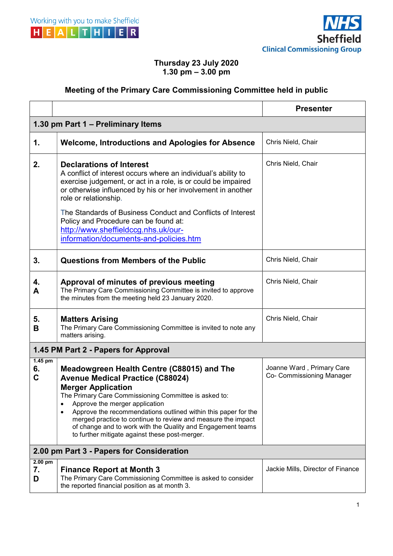



## Thursday 23 July 2020 1.30 pm  $-3.00$  pm

## Meeting of the Primary Care Commissioning Committee held in public

|                                           |                                                                                                                                                                                                                                                                                                                                                                                                                                                                       | <b>Presenter</b>                                       |  |
|-------------------------------------------|-----------------------------------------------------------------------------------------------------------------------------------------------------------------------------------------------------------------------------------------------------------------------------------------------------------------------------------------------------------------------------------------------------------------------------------------------------------------------|--------------------------------------------------------|--|
| 1.30 pm Part 1 – Preliminary Items        |                                                                                                                                                                                                                                                                                                                                                                                                                                                                       |                                                        |  |
| 1.                                        | <b>Welcome, Introductions and Apologies for Absence</b>                                                                                                                                                                                                                                                                                                                                                                                                               | Chris Nield, Chair                                     |  |
| 2.                                        | <b>Declarations of Interest</b><br>A conflict of interest occurs where an individual's ability to<br>exercise judgement, or act in a role, is or could be impaired<br>or otherwise influenced by his or her involvement in another<br>role or relationship.<br>The Standards of Business Conduct and Conflicts of Interest<br>Policy and Procedure can be found at:<br>http://www.sheffieldccg.nhs.uk/our-<br>information/documents-and-policies.htm                  | Chris Nield, Chair                                     |  |
| 3.                                        | <b>Questions from Members of the Public</b>                                                                                                                                                                                                                                                                                                                                                                                                                           | Chris Nield, Chair                                     |  |
| 4.<br>Α                                   | Approval of minutes of previous meeting<br>The Primary Care Commissioning Committee is invited to approve<br>the minutes from the meeting held 23 January 2020.                                                                                                                                                                                                                                                                                                       | Chris Nield, Chair                                     |  |
| 5.<br>B                                   | <b>Matters Arising</b><br>The Primary Care Commissioning Committee is invited to note any<br>matters arising.                                                                                                                                                                                                                                                                                                                                                         | Chris Nield, Chair                                     |  |
| 1.45 PM Part 2 - Papers for Approval      |                                                                                                                                                                                                                                                                                                                                                                                                                                                                       |                                                        |  |
| $1.45$ pm<br>6.<br>C                      | Meadowgreen Health Centre (C88015) and The<br><b>Avenue Medical Practice (C88024)</b><br><b>Merger Application</b><br>The Primary Care Commissioning Committee is asked to:<br>Approve the merger application<br>٠<br>Approve the recommendations outlined within this paper for the<br>merged practice to continue to review and measure the impact<br>of change and to work with the Quality and Engagement teams<br>to further mitigate against these post-merger. | Joanne Ward, Primary Care<br>Co- Commissioning Manager |  |
| 2.00 pm Part 3 - Papers for Consideration |                                                                                                                                                                                                                                                                                                                                                                                                                                                                       |                                                        |  |
| $2.00$ pm<br>7.<br>D                      | <b>Finance Report at Month 3</b><br>The Primary Care Commissioning Committee is asked to consider<br>the reported financial position as at month 3.                                                                                                                                                                                                                                                                                                                   | Jackie Mills, Director of Finance                      |  |